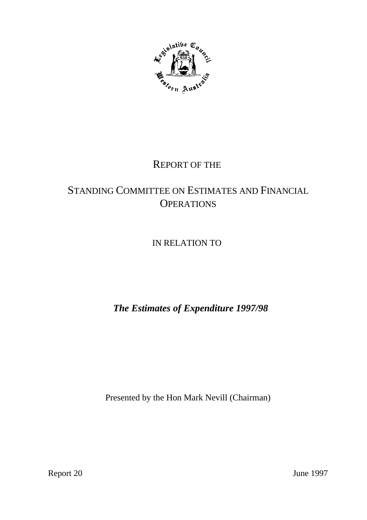

# REPORT OF THE

# STANDING COMMITTEE ON ESTIMATES AND FINANCIAL **OPERATIONS**

# IN RELATION TO

# *The Estimates of Expenditure 1997/98*

Presented by the Hon Mark Nevill (Chairman)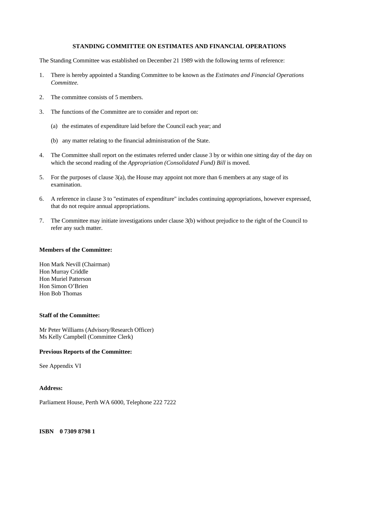#### **STANDING COMMITTEE ON ESTIMATES AND FINANCIAL OPERATIONS**

The Standing Committee was established on December 21 1989 with the following terms of reference:

- 1. There is hereby appointed a Standing Committee to be known as the *Estimates and Financial Operations Committee.*
- 2. The committee consists of 5 members.
- 3. The functions of the Committee are to consider and report on:
	- (a) the estimates of expenditure laid before the Council each year; and
	- (b) any matter relating to the financial administration of the State.
- 4. The Committee shall report on the estimates referred under clause 3 by or within one sitting day of the day on which the second reading of the *Appropriation (Consolidated Fund) Bill* is moved.
- 5. For the purposes of clause  $3(a)$ , the House may appoint not more than 6 members at any stage of its examination.
- 6. A reference in clause 3 to "estimates of expenditure" includes continuing appropriations, however expressed, that do not require annual appropriations.
- 7. The Committee may initiate investigations under clause 3(b) without prejudice to the right of the Council to refer any such matter.

#### **Members of the Committee:**

Hon Mark Nevill (Chairman) Hon Murray Criddle Hon Muriel Patterson Hon Simon O'Brien Hon Bob Thomas

#### **Staff of the Committee:**

Mr Peter Williams (Advisory/Research Officer) Ms Kelly Campbell (Committee Clerk)

#### **Previous Reports of the Committee:**

See Appendix VI

#### **Address:**

Parliament House, Perth WA 6000, Telephone 222 7222

**ISBN 0 7309 8798 1**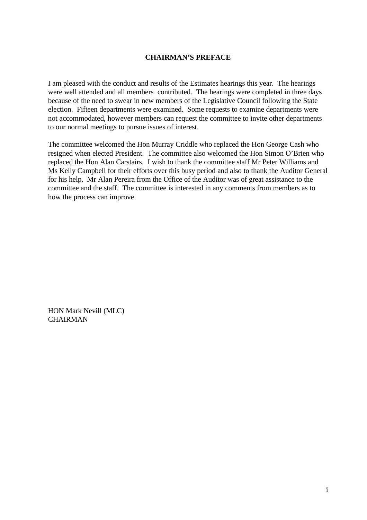#### **CHAIRMAN'S PREFACE**

I am pleased with the conduct and results of the Estimates hearings this year. The hearings were well attended and all members contributed. The hearings were completed in three days because of the need to swear in new members of the Legislative Council following the State election. Fifteen departments were examined. Some requests to examine departments were not accommodated, however members can request the committee to invite other departments to our normal meetings to pursue issues of interest.

The committee welcomed the Hon Murray Criddle who replaced the Hon George Cash who resigned when elected President. The committee also welcomed the Hon Simon O'Brien who replaced the Hon Alan Carstairs. I wish to thank the committee staff Mr Peter Williams and Ms Kelly Campbell for their efforts over this busy period and also to thank the Auditor General for his help. Mr Alan Pereira from the Office of the Auditor was of great assistance to the committee and the staff. The committee is interested in any comments from members as to how the process can improve.

HON Mark Nevill (MLC) **CHAIRMAN**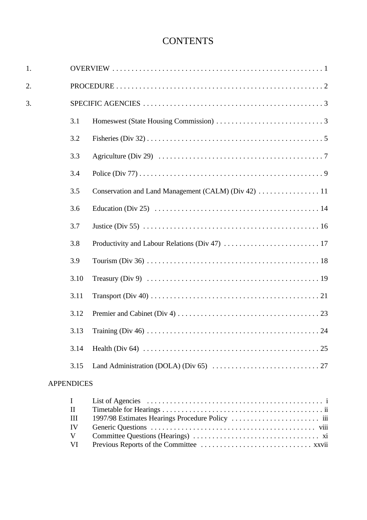# **CONTENTS**

| 1. |      |  |  |
|----|------|--|--|
| 2. |      |  |  |
| 3. |      |  |  |
|    | 3.1  |  |  |
|    | 3.2  |  |  |
|    | 3.3  |  |  |
|    | 3.4  |  |  |
|    | 3.5  |  |  |
|    | 3.6  |  |  |
|    | 3.7  |  |  |
|    | 3.8  |  |  |
|    | 3.9  |  |  |
|    | 3.10 |  |  |
|    | 3.11 |  |  |
|    | 3.12 |  |  |
|    | 3.13 |  |  |
|    | 3.14 |  |  |
|    | 3.15 |  |  |
|    |      |  |  |

## APPENDICES

| $\mathbf{H}$ |  |
|--------------|--|
| III          |  |
| IV           |  |
| V            |  |
| VI —         |  |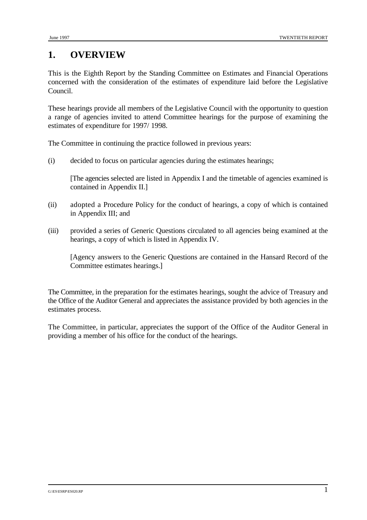# **1. OVERVIEW**

This is the Eighth Report by the Standing Committee on Estimates and Financial Operations concerned with the consideration of the estimates of expenditure laid before the Legislative Council.

These hearings provide all members of the Legislative Council with the opportunity to question a range of agencies invited to attend Committee hearings for the purpose of examining the estimates of expenditure for 1997/ 1998.

The Committee in continuing the practice followed in previous years:

(i) decided to focus on particular agencies during the estimates hearings;

[The agencies selected are listed in Appendix I and the timetable of agencies examined is contained in Appendix II.]

- (ii) adopted a Procedure Policy for the conduct of hearings, a copy of which is contained in Appendix III; and
- (iii) provided a series of Generic Questions circulated to all agencies being examined at the hearings, a copy of which is listed in Appendix IV.

[Agency answers to the Generic Questions are contained in the Hansard Record of the Committee estimates hearings.]

The Committee, in the preparation for the estimates hearings, sought the advice of Treasury and the Office of the Auditor General and appreciates the assistance provided by both agencies in the estimates process.

The Committee, in particular, appreciates the support of the Office of the Auditor General in providing a member of his office for the conduct of the hearings.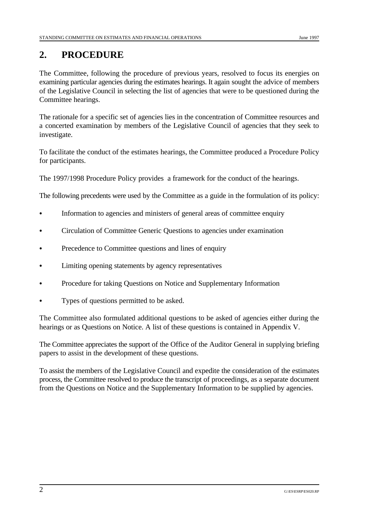## **2. PROCEDURE**

The Committee, following the procedure of previous years, resolved to focus its energies on examining particular agencies during the estimates hearings. It again sought the advice of members of the Legislative Council in selecting the list of agencies that were to be questioned during the Committee hearings.

The rationale for a specific set of agencies lies in the concentration of Committee resources and a concerted examination by members of the Legislative Council of agencies that they seek to investigate.

To facilitate the conduct of the estimates hearings, the Committee produced a Procedure Policy for participants.

The 1997/1998 Procedure Policy provides a framework for the conduct of the hearings.

The following precedents were used by the Committee as a guide in the formulation of its policy:

- Information to agencies and ministers of general areas of committee enquiry
- Circulation of Committee Generic Questions to agencies under examination
- Precedence to Committee questions and lines of enquiry
- Limiting opening statements by agency representatives
- Procedure for taking Questions on Notice and Supplementary Information
- Types of questions permitted to be asked.

The Committee also formulated additional questions to be asked of agencies either during the hearings or as Questions on Notice. A list of these questions is contained in Appendix V.

The Committee appreciates the support of the Office of the Auditor General in supplying briefing papers to assist in the development of these questions.

To assist the members of the Legislative Council and expedite the consideration of the estimates process, the Committee resolved to produce the transcript of proceedings, as a separate document from the Questions on Notice and the Supplementary Information to be supplied by agencies.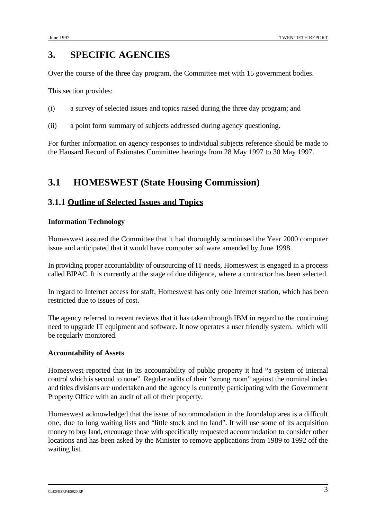# **3. SPECIFIC AGENCIES**

Over the course of the three day program, the Committee met with 15 government bodies.

This section provides:

- (i) a survey of selected issues and topics raised during the three day program; and
- (ii) a point form summary of subjects addressed during agency questioning.

For further information on agency responses to individual subjects reference should be made to the Hansard Record of Estimates Committee hearings from 28 May 1997 to 30 May 1997.

## **3.1 HOMESWEST (State Housing Commission)**

## **3.1.1 Outline of Selected Issues and Topics**

#### **Information Technology**

Homeswest assured the Committee that it had thoroughly scrutinised the Year 2000 computer issue and anticipated that it would have computer software amended by June 1998.

In providing proper accountability of outsourcing of IT needs, Homeswest is engaged in a process called BIPAC. It is currently at the stage of due diligence, where a contractor has been selected.

In regard to Internet access for staff, Homeswest has only one Internet station, which has been restricted due to issues of cost.

The agency referred to recent reviews that it has taken through IBM in regard to the continuing need to upgrade IT equipment and software. It now operates a user friendly system, which will be regularly monitored.

#### **Accountability of Assets**

Homeswest reported that in its accountability of public property it had "a system of internal control which is second to none". Regular audits of their "strong room" against the nominal index and titles divisions are undertaken and the agency is currently participating with the Government Property Office with an audit of all of their property.

Homeswest acknowledged that the issue of accommodation in the Joondalup area is a difficult one, due to long waiting lists and "little stock and no land". It will use some of its acquisition money to buy land, encourage those with specifically requested accommodation to consider other locations and has been asked by the Minister to remove applications from 1989 to 1992 off the waiting list.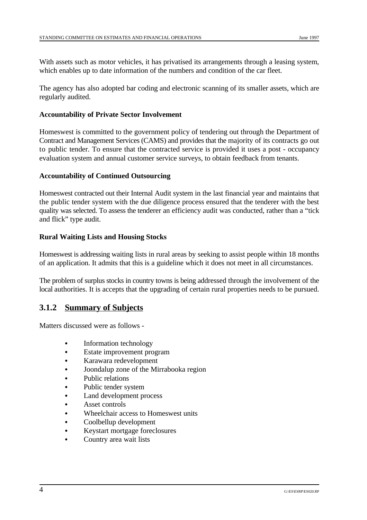With assets such as motor vehicles, it has privatised its arrangements through a leasing system, which enables up to date information of the numbers and condition of the car fleet.

The agency has also adopted bar coding and electronic scanning of its smaller assets, which are regularly audited.

#### **Accountability of Private Sector Involvement**

Homeswest is committed to the government policy of tendering out through the Department of Contract and Management Services (CAMS) and provides that the majority of its contracts go out to public tender. To ensure that the contracted service is provided it uses a post - occupancy evaluation system and annual customer service surveys, to obtain feedback from tenants.

#### **Accountability of Continued Outsourcing**

Homeswest contracted out their Internal Audit system in the last financial year and maintains that the public tender system with the due diligence process ensured that the tenderer with the best quality was selected. To assess the tenderer an efficiency audit was conducted, rather than a "tick and flick" type audit.

#### **Rural Waiting Lists and Housing Stocks**

Homeswest is addressing waiting lists in rural areas by seeking to assist people within 18 months of an application. It admits that this is a guideline which it does not meet in all circumstances.

The problem of surplus stocks in country towns is being addressed through the involvement of the local authorities. It is accepts that the upgrading of certain rural properties needs to be pursued.

### **3.1.2 Summary of Subjects**

- Information technology
- Estate improvement program
- Karawara redevelopment
- Joondalup zone of the Mirrabooka region
- Public relations
- Public tender system
- Land development process
- Asset controls
- Wheelchair access to Homeswest units
- Coolbellup development
- Keystart mortgage foreclosures
- Country area wait lists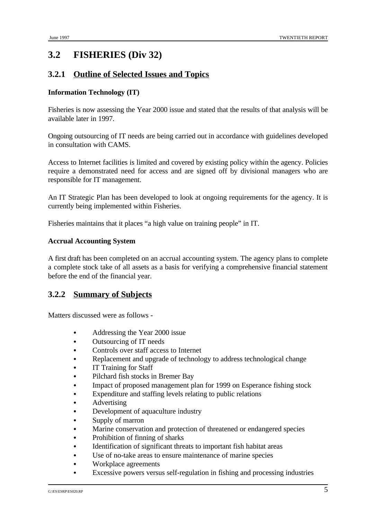## **3.2 FISHERIES (Div 32)**

## **3.2.1 Outline of Selected Issues and Topics**

#### **Information Technology (IT)**

Fisheries is now assessing the Year 2000 issue and stated that the results of that analysis will be available later in 1997.

Ongoing outsourcing of IT needs are being carried out in accordance with guidelines developed in consultation with CAMS.

Access to Internet facilities is limited and covered by existing policy within the agency. Policies require a demonstrated need for access and are signed off by divisional managers who are responsible for IT management.

An IT Strategic Plan has been developed to look at ongoing requirements for the agency. It is currently being implemented within Fisheries.

Fisheries maintains that it places "a high value on training people" in IT.

#### **Accrual Accounting System**

A first draft has been completed on an accrual accounting system. The agency plans to complete a complete stock take of all assets as a basis for verifying a comprehensive financial statement before the end of the financial year.

### **3.2.2 Summary of Subjects**

- Addressing the Year 2000 issue
- Outsourcing of IT needs
- Controls over staff access to Internet
- Replacement and upgrade of technology to address technological change
- IT Training for Staff
- Pilchard fish stocks in Bremer Bay
- Impact of proposed management plan for 1999 on Esperance fishing stock
- Expenditure and staffing levels relating to public relations
- **Advertising**
- Development of aquaculture industry
- Supply of marron
- Marine conservation and protection of threatened or endangered species
- Prohibition of finning of sharks
- Identification of significant threats to important fish habitat areas
- Use of no-take areas to ensure maintenance of marine species
- Workplace agreements
- Excessive powers versus self-regulation in fishing and processing industries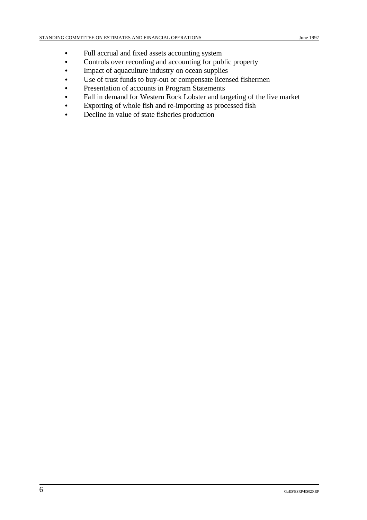- Full accrual and fixed assets accounting system
- Controls over recording and accounting for public property
- Impact of aquaculture industry on ocean supplies
- Use of trust funds to buy-out or compensate licensed fishermen
- Presentation of accounts in Program Statements
- Fall in demand for Western Rock Lobster and targeting of the live market
- Exporting of whole fish and re-importing as processed fish
- Decline in value of state fisheries production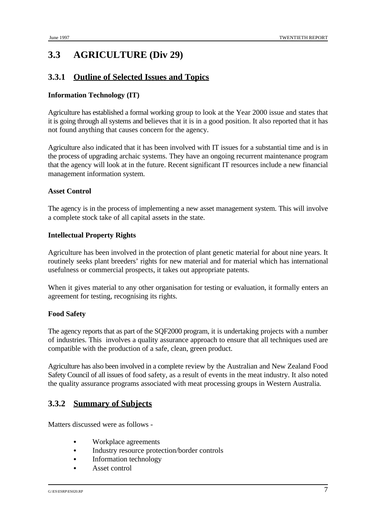# **3.3 AGRICULTURE (Div 29)**

## **3.3.1 Outline of Selected Issues and Topics**

#### **Information Technology (IT)**

Agriculture has established a formal working group to look at the Year 2000 issue and states that it is going through all systems and believes that it is in a good position. It also reported that it has not found anything that causes concern for the agency.

Agriculture also indicated that it has been involved with IT issues for a substantial time and is in the process of upgrading archaic systems. They have an ongoing recurrent maintenance program that the agency will look at in the future. Recent significant IT resources include a new financial management information system.

#### **Asset Control**

The agency is in the process of implementing a new asset management system. This will involve a complete stock take of all capital assets in the state.

#### **Intellectual Property Rights**

Agriculture has been involved in the protection of plant genetic material for about nine years. It routinely seeks plant breeders' rights for new material and for material which has international usefulness or commercial prospects, it takes out appropriate patents.

When it gives material to any other organisation for testing or evaluation, it formally enters an agreement for testing, recognising its rights.

#### **Food Safety**

The agency reports that as part of the SQF2000 program, it is undertaking projects with a number of industries. This involves a quality assurance approach to ensure that all techniques used are compatible with the production of a safe, clean, green product.

Agriculture has also been involved in a complete review by the Australian and New Zealand Food Safety Council of all issues of food safety, as a result of events in the meat industry. It also noted the quality assurance programs associated with meat processing groups in Western Australia.

### **3.3.2 Summary of Subjects**

- Workplace agreements
- Industry resource protection/border controls
- Information technology
- Asset control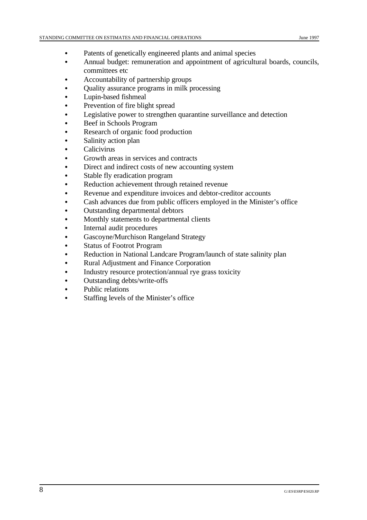- Patents of genetically engineered plants and animal species
- Annual budget: remuneration and appointment of agricultural boards, councils, committees etc
- Accountability of partnership groups
- Quality assurance programs in milk processing
- Lupin-based fishmeal
- Prevention of fire blight spread
- Legislative power to strengthen quarantine surveillance and detection
- Beef in Schools Program
- Research of organic food production
- Salinity action plan
- **Calicivirus**
- Growth areas in services and contracts
- Direct and indirect costs of new accounting system
- Stable fly eradication program
- Reduction achievement through retained revenue
- Revenue and expenditure invoices and debtor-creditor accounts
- Cash advances due from public officers employed in the Minister's office
- Outstanding departmental debtors
- Monthly statements to departmental clients
- Internal audit procedures
- Gascoyne/Murchison Rangeland Strategy
- Status of Footrot Program
- Reduction in National Landcare Program/launch of state salinity plan
- Rural Adjustment and Finance Corporation
- Industry resource protection/annual rye grass toxicity
- Outstanding debts/write-offs
- Public relations
- Staffing levels of the Minister's office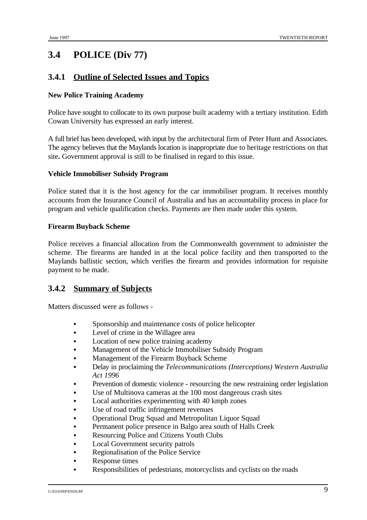# **3.4 POLICE (Div 77)**

## **3.4.1 Outline of Selected Issues and Topics**

### **New Police Training Academy**

Police have sought to collocate to its own purpose built academy with a tertiary institution. Edith Cowan University has expressed an early interest.

A full brief has been developed, with input by the architectural firm of Peter Hunt and Associates. The agency believes that the Maylands location is inappropriate due to heritage restrictions on that site**.** Government approval is still to be finalised in regard to this issue.

#### **Vehicle Immobiliser Subsidy Program**

Police stated that it is the host agency for the car immobiliser program. It receives monthly accounts from the Insurance Council of Australia and has an accountability process in place for program and vehicle qualification checks. Payments are then made under this system.

#### **Firearm Buyback Scheme**

Police receives a financial allocation from the Commonwealth government to administer the scheme. The firearms are handed in at the local police facility and then transported to the Maylands ballistic section, which verifies the firearm and provides information for requisite payment to be made.

## **3.4.2 Summary of Subjects**

- Sponsorship and maintenance costs of police helicopter
- Level of crime in the Willagee area
- Location of new police training academy
- Management of the Vehicle Immobiliser Subsidy Program
- Management of the Firearm Buyback Scheme
- C Delay in proclaiming the *Telecommunications (Interceptions) Western Australia Act 1996*
- Prevention of domestic violence resourcing the new restraining order legislation
- Use of Multinova cameras at the 100 most dangerous crash sites
- Local authorities experimenting with 40 kmph zones
- Use of road traffic infringement revenues
- Operational Drug Squad and Metropolitan Liquor Squad
- Permanent police presence in Balgo area south of Halls Creek
- Resourcing Police and Citizens Youth Clubs
- Local Government security patrols
- Regionalisation of the Police Service
- Response times
- Responsibilities of pedestrians, motorcyclists and cyclists on the roads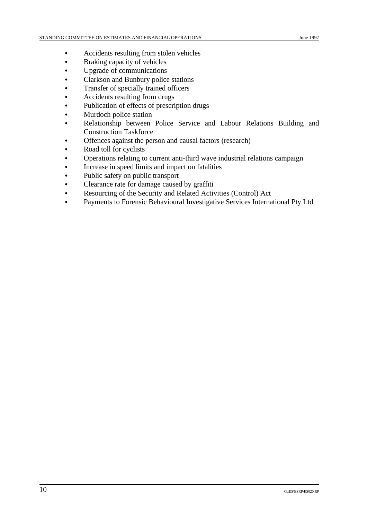- Accidents resulting from stolen vehicles
- Braking capacity of vehicles
- Upgrade of communications
- Clarkson and Bunbury police stations
- Transfer of specially trained officers
- Accidents resulting from drugs
- Publication of effects of prescription drugs
- Murdoch police station
- Relationship between Police Service and Labour Relations Building and Construction Taskforce
- Offences against the person and causal factors (research)
- Road toll for cyclists
- C Operations relating to current anti-third wave industrial relations campaign
- Increase in speed limits and impact on fatalities
- Public safety on public transport
- Clearance rate for damage caused by graffiti
- Resourcing of the Security and Related Activities (Control) Act
- Payments to Forensic Behavioural Investigative Services International Pty Ltd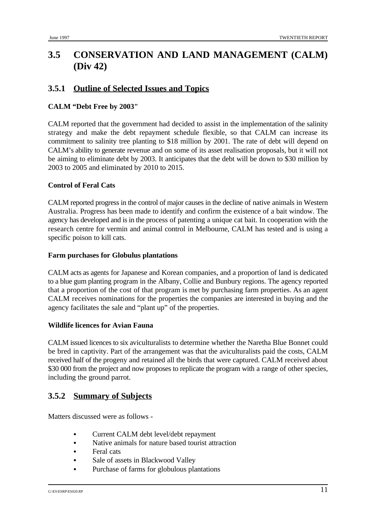# **3.5 CONSERVATION AND LAND MANAGEMENT (CALM) (Div 42)**

## **3.5.1 Outline of Selected Issues and Topics**

### **CALM "Debt Free by 2003"**

CALM reported that the government had decided to assist in the implementation of the salinity strategy and make the debt repayment schedule flexible, so that CALM can increase its commitment to salinity tree planting to \$18 million by 2001. The rate of debt will depend on CALM's ability to generate revenue and on some of its asset realisation proposals, but it will not be aiming to eliminate debt by 2003. It anticipates that the debt will be down to \$30 million by 2003 to 2005 and eliminated by 2010 to 2015.

#### **Control of Feral Cats**

CALM reported progress in the control of major causes in the decline of native animals in Western Australia. Progress has been made to identify and confirm the existence of a bait window. The agency has developed and is in the process of patenting a unique cat bait. In cooperation with the research centre for vermin and animal control in Melbourne, CALM has tested and is using a specific poison to kill cats.

#### **Farm purchases for Globulus plantations**

CALM acts as agents for Japanese and Korean companies, and a proportion of land is dedicated to a blue gum planting program in the Albany, Collie and Bunbury regions. The agency reported that a proportion of the cost of that program is met by purchasing farm properties. As an agent CALM receives nominations for the properties the companies are interested in buying and the agency facilitates the sale and "plant up" of the properties.

#### **Wildlife licences for Avian Fauna**

CALM issued licences to six aviculturalists to determine whether the Naretha Blue Bonnet could be bred in captivity. Part of the arrangement was that the aviculturalists paid the costs, CALM received half of the progeny and retained all the birds that were captured. CALM received about \$30 000 from the project and now proposes to replicate the program with a range of other species, including the ground parrot.

### **3.5.2 Summary of Subjects**

- Current CALM debt level/debt repayment
- Native animals for nature based tourist attraction
- $\bullet$  Feral cats
- Sale of assets in Blackwood Valley
- Purchase of farms for globulous plantations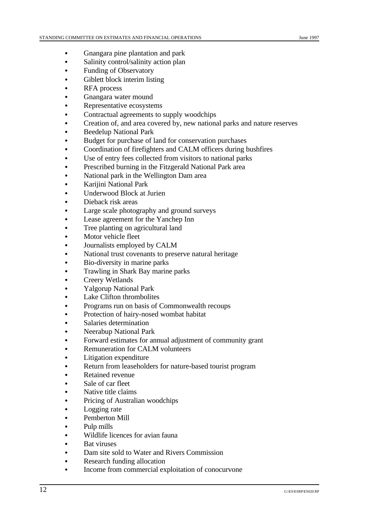- Gnangara pine plantation and park
- Salinity control/salinity action plan
- Funding of Observatory
- Giblett block interim listing
- RFA process
- Gnangara water mound
- Representative ecosystems
- Contractual agreements to supply woodchips
- Creation of, and area covered by, new national parks and nature reserves
- **Beedelup National Park**
- Budget for purchase of land for conservation purchases
- Coordination of firefighters and CALM officers during bushfires
- Use of entry fees collected from visitors to national parks
- Prescribed burning in the Fitzgerald National Park area
- National park in the Wellington Dam area
- Karijini National Park
- C Underwood Block at Jurien
- Dieback risk areas
- Large scale photography and ground surveys
- Lease agreement for the Yanchep Inn
- Tree planting on agricultural land
- Motor vehicle fleet
- Journalists employed by CALM
- National trust covenants to preserve natural heritage
- Bio-diversity in marine parks
- Trawling in Shark Bay marine parks
- Creery Wetlands
- Yalgorup National Park
- Lake Clifton thrombolites
- Programs run on basis of Commonwealth recoups
- Protection of hairy-nosed wombat habitat
- Salaries determination
- **Neerabup National Park**
- Forward estimates for annual adjustment of community grant
- Remuneration for CALM volunteers
- Litigation expenditure
- Return from leaseholders for nature-based tourist program
- Retained revenue
- Sale of car fleet
- Native title claims
- Pricing of Australian woodchips
- Logging rate
- Pemberton Mill
- Pulp mills
- Wildlife licences for avian fauna
- **Bat viruses**
- Dam site sold to Water and Rivers Commission
- Research funding allocation
- Income from commercial exploitation of conocurvone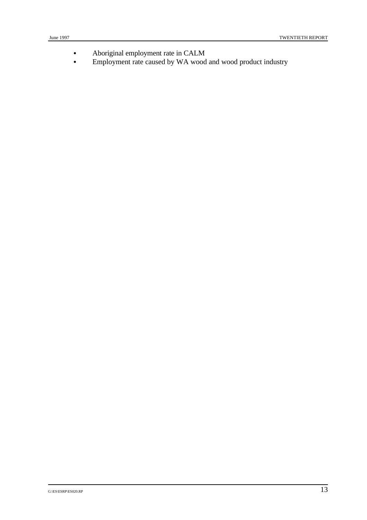- Aboriginal employment rate in CALM
- Employment rate caused by WA wood and wood product industry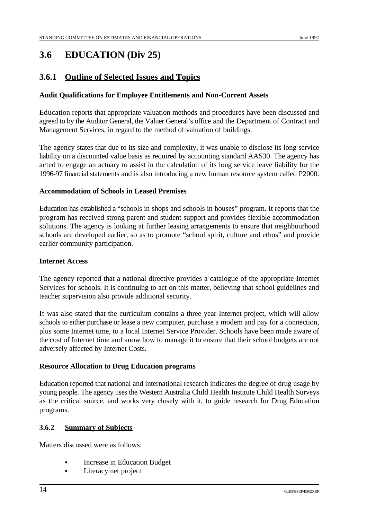## **3.6 EDUCATION (Div 25)**

## **3.6.1 Outline of Selected Issues and Topics**

#### **Audit Qualifications for Employee Entitlements and Non-Current Assets**

Education reports that appropriate valuation methods and procedures have been discussed and agreed to by the Auditor General, the Valuer General's office and the Department of Contract and Management Services, in regard to the method of valuation of buildings.

The agency states that due to its size and complexity, it was unable to disclose its long service liability on a discounted value basis as required by accounting standard AAS30. The agency has acted to engage an actuary to assist in the calculation of its long service leave liability for the 1996-97 financial statements and is also introducing a new human resource system called P2000.

#### **Accommodation of Schools in Leased Premises**

Education has established a "schools in shops and schools in houses" program. It reports that the program has received strong parent and student support and provides flexible accommodation solutions. The agency is looking at further leasing arrangements to ensure that neighbourhood schools are developed earlier, so as to promote "school spirit, culture and ethos" and provide earlier community participation.

#### **Internet Access**

The agency reported that a national directive provides a catalogue of the appropriate Internet Services for schools. It is continuing to act on this matter, believing that school guidelines and teacher supervision also provide additional security.

It was also stated that the curriculum contains a three year Internet project, which will allow schools to either purchase or lease a new computer, purchase a modem and pay for a connection, plus some Internet time, to a local Internet Service Provider. Schools have been made aware of the cost of Internet time and know how to manage it to ensure that their school budgets are not adversely affected by Internet Costs.

### **Resource Allocation to Drug Education programs**

Education reported that national and international research indicates the degree of drug usage by young people. The agency uses the Western Australia Child Health Institute Child Health Surveys as the critical source, and works very closely with it, to guide research for Drug Education programs.

### **3.6.2 Summary of Subjects**

- Increase in Education Budget
- Literacy net project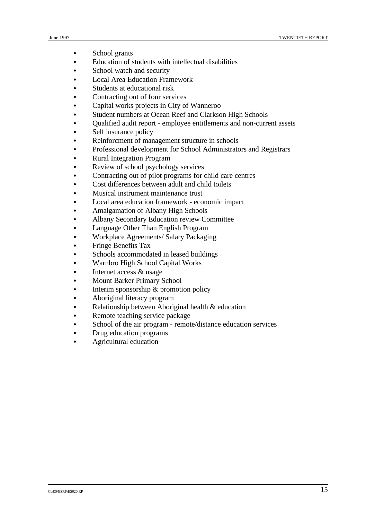- School grants
- Education of students with intellectual disabilities
- School watch and security
- Local Area Education Framework
- Students at educational risk
- Contracting out of four services
- Capital works projects in City of Wanneroo
- Student numbers at Ocean Reef and Clarkson High Schools
- Qualified audit report employee entitlements and non-current assets
- Self insurance policy
- Reinforcment of management structure in schools
- Professional development for School Administrators and Registrars
- Rural Integration Program
- Review of school psychology services
- Contracting out of pilot programs for child care centres
- Cost differences between adult and child toilets
- Musical instrument maintenance trust
- Local area education framework economic impact
- Amalgamation of Albany High Schools
- Albany Secondary Education review Committee
- Language Other Than English Program
- Workplace Agreements/ Salary Packaging
- Fringe Benefits Tax
- Schools accommodated in leased buildings
- Warnbro High School Capital Works
- Internet access & usage
- Mount Barker Primary School
- Interim sponsorship  $&$  promotion policy
- Aboriginal literacy program
- Relationship between Aboriginal health  $&$  education
- Remote teaching service package
- School of the air program remote/distance education services
- Drug education programs
- Agricultural education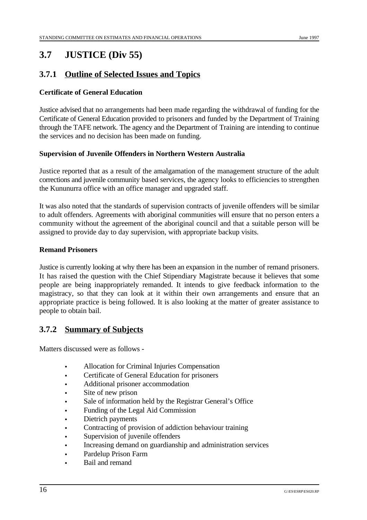## **3.7 JUSTICE (Div 55)**

## **3.7.1 Outline of Selected Issues and Topics**

### **Certificate of General Education**

Justice advised that no arrangements had been made regarding the withdrawal of funding for the Certificate of General Education provided to prisoners and funded by the Department of Training through the TAFE network. The agency and the Department of Training are intending to continue the services and no decision has been made on funding.

#### **Supervision of Juvenile Offenders in Northern Western Australia**

Justice reported that as a result of the amalgamation of the management structure of the adult corrections and juvenile community based services, the agency looks to efficiencies to strengthen the Kununurra office with an office manager and upgraded staff.

It was also noted that the standards of supervision contracts of juvenile offenders will be similar to adult offenders. Agreements with aboriginal communities will ensure that no person enters a community without the agreement of the aboriginal council and that a suitable person will be assigned to provide day to day supervision, with appropriate backup visits.

#### **Remand Prisoners**

Justice is currently looking at why there has been an expansion in the number of remand prisoners. It has raised the question with the Chief Stipendiary Magistrate because it believes that some people are being inappropriately remanded. It intends to give feedback information to the magistracy, so that they can look at it within their own arrangements and ensure that an appropriate practice is being followed. It is also looking at the matter of greater assistance to people to obtain bail.

## **3.7.2 Summary of Subjects**

- Allocation for Criminal Injuries Compensation
- Certificate of General Education for prisoners
- Additional prisoner accommodation
- Site of new prison
- Sale of information held by the Registrar General's Office
- Funding of the Legal Aid Commission
- Dietrich payments
- Contracting of provision of addiction behaviour training
- Supervision of juvenile offenders
- Increasing demand on guardianship and administration services
- Pardelup Prison Farm
- Bail and remand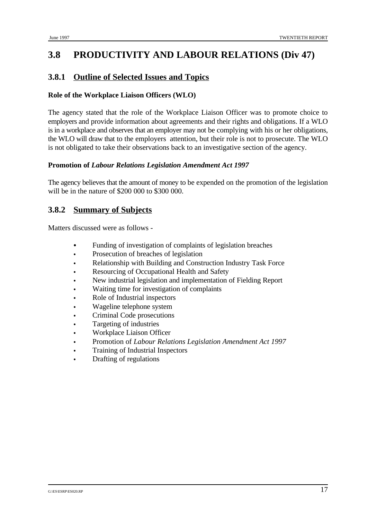# **3.8 PRODUCTIVITY AND LABOUR RELATIONS (Div 47)**

## **3.8.1 Outline of Selected Issues and Topics**

#### **Role of the Workplace Liaison Officers (WLO)**

The agency stated that the role of the Workplace Liaison Officer was to promote choice to employers and provide information about agreements and their rights and obligations. If a WLO is in a workplace and observes that an employer may not be complying with his or her obligations, the WLO will draw that to the employers attention, but their role is not to prosecute. The WLO is not obligated to take their observations back to an investigative section of the agency.

#### **Promotion of** *Labour Relations Legislation Amendment Act 1997*

The agency believes that the amount of money to be expended on the promotion of the legislation will be in the nature of \$200 000 to \$300 000.

## **3.8.2 Summary of Subjects**

- Funding of investigation of complaints of legislation breaches
- Prosecution of breaches of legislation
- Relationship with Building and Construction Industry Task Force
- Resourcing of Occupational Health and Safety
- New industrial legislation and implementation of Fielding Report
- Waiting time for investigation of complaints
- Role of Industrial inspectors
- Wageline telephone system
- Criminal Code prosecutions
- Targeting of industries
- Workplace Liaison Officer
- C Promotion of *Labour Relations Legislation Amendment Act 1997*
- Training of Industrial Inspectors
- Drafting of regulations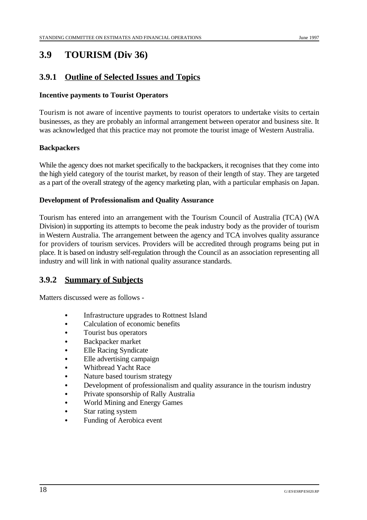## **3.9 TOURISM (Div 36)**

## **3.9.1 Outline of Selected Issues and Topics**

#### **Incentive payments to Tourist Operators**

Tourism is not aware of incentive payments to tourist operators to undertake visits to certain businesses, as they are probably an informal arrangement between operator and business site. It was acknowledged that this practice may not promote the tourist image of Western Australia.

#### **Backpackers**

While the agency does not market specifically to the backpackers, it recognises that they come into the high yield category of the tourist market, by reason of their length of stay. They are targeted as a part of the overall strategy of the agency marketing plan, with a particular emphasis on Japan.

#### **Development of Professionalism and Quality Assurance**

Tourism has entered into an arrangement with the Tourism Council of Australia (TCA) (WA Division) in supporting its attempts to become the peak industry body as the provider of tourism in Western Australia. The arrangement between the agency and TCA involves quality assurance for providers of tourism services. Providers will be accredited through programs being put in place. It is based on industry self-regulation through the Council as an association representing all industry and will link in with national quality assurance standards.

### **3.9.2 Summary of Subjects**

- Infrastructure upgrades to Rottnest Island
- Calculation of economic benefits
- Tourist bus operators
- Backpacker market
- Elle Racing Syndicate
- Elle advertising campaign
- Whitbread Yacht Race
- Nature based tourism strategy
- Development of professionalism and quality assurance in the tourism industry
- Private sponsorship of Rally Australia
- World Mining and Energy Games
- Star rating system
- Funding of Aerobica event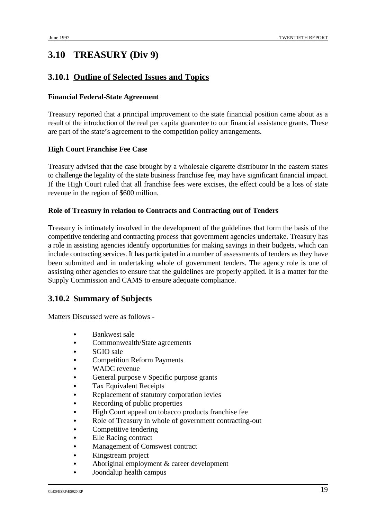# **3.10 TREASURY (Div 9)**

## **3.10.1 Outline of Selected Issues and Topics**

#### **Financial Federal-State Agreement**

Treasury reported that a principal improvement to the state financial position came about as a result of the introduction of the real per capita guarantee to our financial assistance grants. These are part of the state's agreement to the competition policy arrangements.

### **High Court Franchise Fee Case**

Treasury advised that the case brought by a wholesale cigarette distributor in the eastern states to challenge the legality of the state business franchise fee, may have significant financial impact. If the High Court ruled that all franchise fees were excises, the effect could be a loss of state revenue in the region of \$600 million.

#### **Role of Treasury in relation to Contracts and Contracting out of Tenders**

Treasury is intimately involved in the development of the guidelines that form the basis of the competitive tendering and contracting process that government agencies undertake. Treasury has a role in assisting agencies identify opportunities for making savings in their budgets, which can include contracting services. It has participated in a number of assessments of tenders as they have been submitted and in undertaking whole of government tenders. The agency role is one of assisting other agencies to ensure that the guidelines are properly applied. It is a matter for the Supply Commission and CAMS to ensure adequate compliance.

### **3.10.2 Summary of Subjects**

- Bankwest sale
- Commonwealth/State agreements
- $\bullet$  SGIO sale
- **Competition Reform Payments**
- WADC revenue
- General purpose v Specific purpose grants
- Tax Equivalent Receipts
- Replacement of statutory corporation levies
- Recording of public properties
- High Court appeal on tobacco products franchise fee
- Role of Treasury in whole of government contracting-out
- Competitive tendering
- Elle Racing contract
- Management of Comswest contract
- Kingstream project
- $\bullet$  Aboriginal employment  $\&$  career development
- Joondalup health campus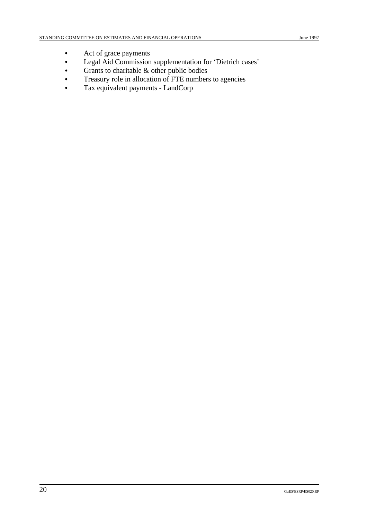- Act of grace payments
- Legal Aid Commission supplementation for 'Dietrich cases'
- $\bullet$  Grants to charitable  $\&$  other public bodies
- Treasury role in allocation of FTE numbers to agencies
- Tax equivalent payments LandCorp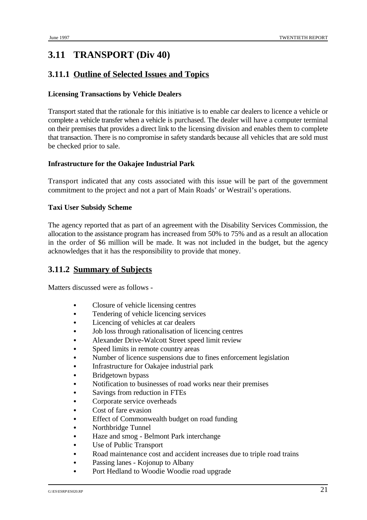# **3.11 TRANSPORT (Div 40)**

## **3.11.1 Outline of Selected Issues and Topics**

#### **Licensing Transactions by Vehicle Dealers**

Transport stated that the rationale for this initiative is to enable car dealers to licence a vehicle or complete a vehicle transfer when a vehicle is purchased. The dealer will have a computer terminal on their premises that provides a direct link to the licensing division and enables them to complete that transaction. There is no compromise in safety standards because all vehicles that are sold must be checked prior to sale.

### **Infrastructure for the Oakajee Industrial Park**

Transport indicated that any costs associated with this issue will be part of the government commitment to the project and not a part of Main Roads' or Westrail's operations.

#### **Taxi User Subsidy Scheme**

The agency reported that as part of an agreement with the Disability Services Commission, the allocation to the assistance program has increased from 50% to 75% and as a result an allocation in the order of \$6 million will be made. It was not included in the budget, but the agency acknowledges that it has the responsibility to provide that money.

### **3.11.2 Summary of Subjects**

- Closure of vehicle licensing centres
- Tendering of vehicle licencing services
- Licencing of vehicles at car dealers
- Job loss through rationalisation of licencing centres
- Alexander Drive-Walcott Street speed limit review
- Speed limits in remote country areas
- Number of licence suspensions due to fines enforcement legislation
- Infrastructure for Oakajee industrial park
- Bridgetown bypass
- Notification to businesses of road works near their premises
- Savings from reduction in FTEs
- Corporate service overheads
- Cost of fare evasion
- Effect of Commonwealth budget on road funding
- Northbridge Tunnel
- Haze and smog Belmont Park interchange
- Use of Public Transport
- Road maintenance cost and accident increases due to triple road trains
- Passing lanes Kojonup to Albany
- Port Hedland to Woodie Woodie road upgrade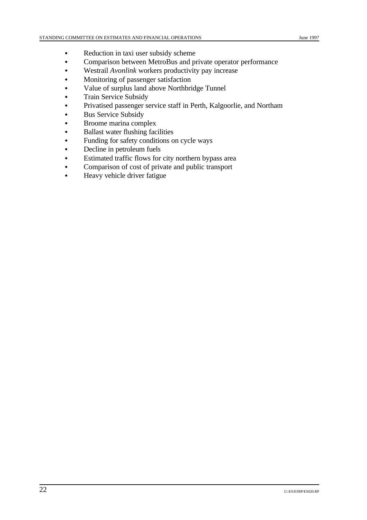- Reduction in taxi user subsidy scheme
- Comparison between MetroBus and private operator performance
- Westrail *Avonlink* workers productivity pay increase
- Monitoring of passenger satisfaction
- Value of surplus land above Northbridge Tunnel
- Train Service Subsidy
- Privatised passenger service staff in Perth, Kalgoorlie, and Northam
- Bus Service Subsidy
- Broome marina complex
- Ballast water flushing facilities
- Funding for safety conditions on cycle ways
- Decline in petroleum fuels
- Estimated traffic flows for city northern bypass area
- Comparison of cost of private and public transport
- Heavy vehicle driver fatigue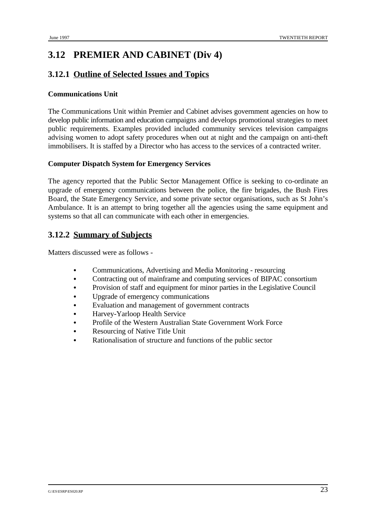# **3.12 PREMIER AND CABINET (Div 4)**

## **3.12.1 Outline of Selected Issues and Topics**

#### **Communications Unit**

The Communications Unit within Premier and Cabinet advises government agencies on how to develop public information and education campaigns and develops promotional strategies to meet public requirements. Examples provided included community services television campaigns advising women to adopt safety procedures when out at night and the campaign on anti-theft immobilisers. It is staffed by a Director who has access to the services of a contracted writer.

### **Computer Dispatch System for Emergency Services**

The agency reported that the Public Sector Management Office is seeking to co-ordinate an upgrade of emergency communications between the police, the fire brigades, the Bush Fires Board, the State Emergency Service, and some private sector organisations, such as St John's Ambulance. It is an attempt to bring together all the agencies using the same equipment and systems so that all can communicate with each other in emergencies.

## **3.12.2 Summary of Subjects**

- Communications, Advertising and Media Monitoring resourcing
- Contracting out of mainframe and computing services of BIPAC consortium
- Provision of staff and equipment for minor parties in the Legislative Council
- Upgrade of emergency communications
- Evaluation and management of government contracts
- Harvey-Yarloop Health Service
- Profile of the Western Australian State Government Work Force
- Resourcing of Native Title Unit
- Rationalisation of structure and functions of the public sector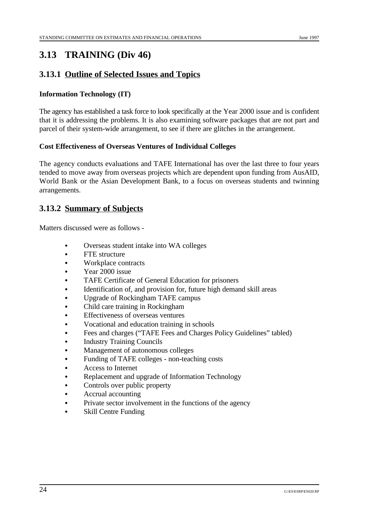# **3.13 TRAINING (Div 46)**

## **3.13.1 Outline of Selected Issues and Topics**

### **Information Technology (IT)**

The agency has established a task force to look specifically at the Year 2000 issue and is confident that it is addressing the problems. It is also examining software packages that are not part and parcel of their system-wide arrangement, to see if there are glitches in the arrangement.

### **Cost Effectiveness of Overseas Ventures of Individual Colleges**

The agency conducts evaluations and TAFE International has over the last three to four years tended to move away from overseas projects which are dependent upon funding from AusAID, World Bank or the Asian Development Bank, to a focus on overseas students and twinning arrangements.

## **3.13.2 Summary of Subjects**

- Overseas student intake into WA colleges
- FTE structure
- Workplace contracts
- Year 2000 issue
- TAFE Certificate of General Education for prisoners
- Identification of, and provision for, future high demand skill areas
- Upgrade of Rockingham TAFE campus
- Child care training in Rockingham
- Effectiveness of overseas ventures
- Vocational and education training in schools
- Fees and charges ("TAFE Fees and Charges Policy Guidelines" tabled)
- **Industry Training Councils**
- Management of autonomous colleges
- Funding of TAFE colleges non-teaching costs
- Access to Internet
- Replacement and upgrade of Information Technology
- Controls over public property
- Accrual accounting
- Private sector involvement in the functions of the agency
- **Skill Centre Funding**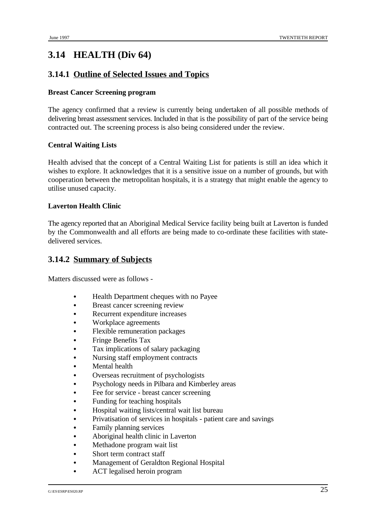# **3.14 HEALTH (Div 64)**

## **3.14.1 Outline of Selected Issues and Topics**

#### **Breast Cancer Screening program**

The agency confirmed that a review is currently being undertaken of all possible methods of delivering breast assessment services. Included in that is the possibility of part of the service being contracted out. The screening process is also being considered under the review.

#### **Central Waiting Lists**

Health advised that the concept of a Central Waiting List for patients is still an idea which it wishes to explore. It acknowledges that it is a sensitive issue on a number of grounds, but with cooperation between the metropolitan hospitals, it is a strategy that might enable the agency to utilise unused capacity.

#### **Laverton Health Clinic**

The agency reported that an Aboriginal Medical Service facility being built at Laverton is funded by the Commonwealth and all efforts are being made to co-ordinate these facilities with statedelivered services.

### **3.14.2 Summary of Subjects**

- Health Department cheques with no Payee
- Breast cancer screening review
- Recurrent expenditure increases
- Workplace agreements
- Flexible remuneration packages
- Fringe Benefits Tax
- Tax implications of salary packaging
- Nursing staff employment contracts
- Mental health
- Overseas recruitment of psychologists
- Psychology needs in Pilbara and Kimberley areas
- Fee for service breast cancer screening
- Funding for teaching hospitals
- Hospital waiting lists/central wait list bureau
- Privatisation of services in hospitals patient care and savings
- Family planning services
- Aboriginal health clinic in Laverton
- Methadone program wait list
- Short term contract staff
- Management of Geraldton Regional Hospital
- ACT legalised heroin program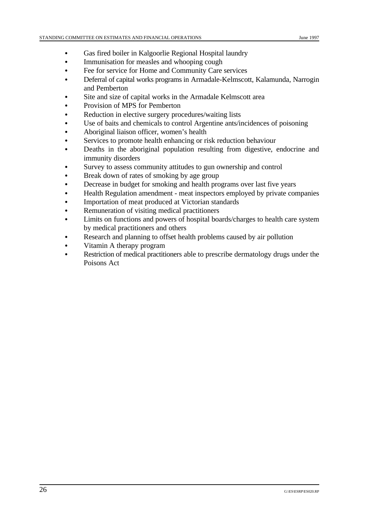- Gas fired boiler in Kalgoorlie Regional Hospital laundry
- Immunisation for measles and whooping cough
- Fee for service for Home and Community Care services
- C Deferral of capital works programs in Armadale-Kelmscott, Kalamunda, Narrogin and Pemberton
- Site and size of capital works in the Armadale Kelmscott area
- Provision of MPS for Pemberton
- Reduction in elective surgery procedures/waiting lists
- Use of baits and chemicals to control Argentine ants/incidences of poisoning
- Aboriginal liaison officer, women's health
- Services to promote health enhancing or risk reduction behaviour
- Deaths in the aboriginal population resulting from digestive, endocrine and immunity disorders
- Survey to assess community attitudes to gun ownership and control
- Break down of rates of smoking by age group
- Decrease in budget for smoking and health programs over last five years
- Health Regulation amendment meat inspectors employed by private companies
- Importation of meat produced at Victorian standards
- Remuneration of visiting medical practitioners
- Limits on functions and powers of hospital boards/charges to health care system by medical practitioners and others
- Research and planning to offset health problems caused by air pollution
- Vitamin A therapy program
- Restriction of medical practitioners able to prescribe dermatology drugs under the Poisons Act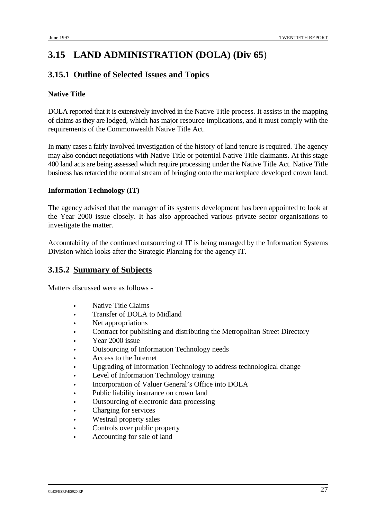# **3.15 LAND ADMINISTRATION (DOLA) (Div 65**)

## **3.15.1 Outline of Selected Issues and Topics**

### **Native Title**

DOLA reported that it is extensively involved in the Native Title process. It assists in the mapping of claims as they are lodged, which has major resource implications, and it must comply with the requirements of the Commonwealth Native Title Act.

In many cases a fairly involved investigation of the history of land tenure is required. The agency may also conduct negotiations with Native Title or potential Native Title claimants. At this stage 400 land acts are being assessed which require processing under the Native Title Act. Native Title business has retarded the normal stream of bringing onto the marketplace developed crown land.

### **Information Technology (IT)**

The agency advised that the manager of its systems development has been appointed to look at the Year 2000 issue closely. It has also approached various private sector organisations to investigate the matter.

Accountability of the continued outsourcing of IT is being managed by the Information Systems Division which looks after the Strategic Planning for the agency IT.

## **3.15.2 Summary of Subjects**

- Native Title Claims
- Transfer of DOLA to Midland
- Net appropriations
- Contract for publishing and distributing the Metropolitan Street Directory
- $\cdot$  Year 2000 issue
- Outsourcing of Information Technology needs
- Access to the Internet
- Upgrading of Information Technology to address technological change
- Level of Information Technology training
- Incorporation of Valuer General's Office into DOLA
- Public liability insurance on crown land
- Outsourcing of electronic data processing
- Charging for services
- Westrail property sales
- Controls over public property
- Accounting for sale of land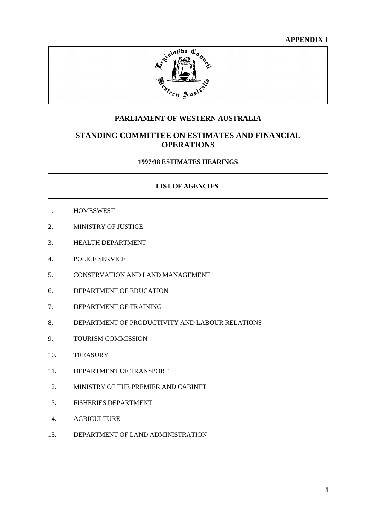**APPENDIX I**



### **PARLIAMENT OF WESTERN AUSTRALIA**

### **STANDING COMMITTEE ON ESTIMATES AND FINANCIAL OPERATIONS**

**1997/98 ESTIMATES HEARINGS**

#### **LIST OF AGENCIES**

- 1. HOMESWEST
- 2. MINISTRY OF JUSTICE
- 3. HEALTH DEPARTMENT
- 4. POLICE SERVICE
- 5. CONSERVATION AND LAND MANAGEMENT
- 6. DEPARTMENT OF EDUCATION
- 7. DEPARTMENT OF TRAINING
- 8. DEPARTMENT OF PRODUCTIVITY AND LABOUR RELATIONS
- 9. TOURISM COMMISSION
- 10. TREASURY
- 11. DEPARTMENT OF TRANSPORT
- 12. MINISTRY OF THE PREMIER AND CABINET
- 13. FISHERIES DEPARTMENT
- 14. AGRICULTURE
- 15. DEPARTMENT OF LAND ADMINISTRATION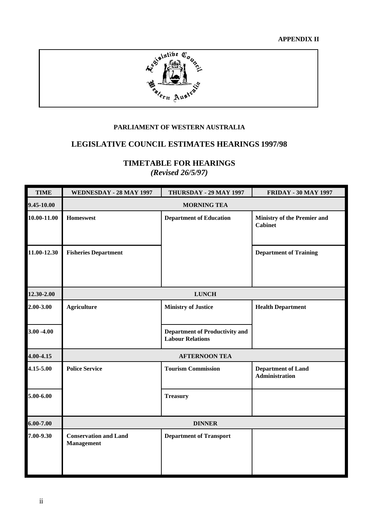

### **PARLIAMENT OF WESTERN AUSTRALIA**

## **LEGISLATIVE COUNCIL ESTIMATES HEARINGS 1997/98**

# **TIMETABLE FOR HEARINGS**

*(Revised 26/5/97)*

| <b>TIME</b>   | WEDNESDAY - 28 MAY 1997                           | THURSDAY - 29 MAY 1997                                           | <b>FRIDAY - 30 MAY 1997</b>                          |  |  |
|---------------|---------------------------------------------------|------------------------------------------------------------------|------------------------------------------------------|--|--|
| 9.45-10.00    | <b>MORNING TEA</b>                                |                                                                  |                                                      |  |  |
| 10.00-11.00   | <b>Homeswest</b>                                  | <b>Department of Education</b>                                   | <b>Ministry of the Premier and</b><br><b>Cabinet</b> |  |  |
| 11.00-12.30   | <b>Fisheries Department</b>                       |                                                                  | <b>Department of Training</b>                        |  |  |
| 12.30-2.00    | <b>LUNCH</b>                                      |                                                                  |                                                      |  |  |
| 2.00-3.00     | <b>Agriculture</b>                                | <b>Ministry of Justice</b>                                       | <b>Health Department</b>                             |  |  |
| $3.00 - 4.00$ |                                                   | <b>Department of Productivity and</b><br><b>Labour Relations</b> |                                                      |  |  |
| 4.00-4.15     | <b>AFTERNOON TEA</b>                              |                                                                  |                                                      |  |  |
| 4.15-5.00     | <b>Police Service</b>                             | <b>Tourism Commission</b>                                        | <b>Department of Land</b><br>Administration          |  |  |
| 5.00-6.00     |                                                   | <b>Treasury</b>                                                  |                                                      |  |  |
| 6.00-7.00     | <b>DINNER</b>                                     |                                                                  |                                                      |  |  |
| 7.00-9.30     | <b>Conservation and Land</b><br><b>Management</b> | <b>Department of Transport</b>                                   |                                                      |  |  |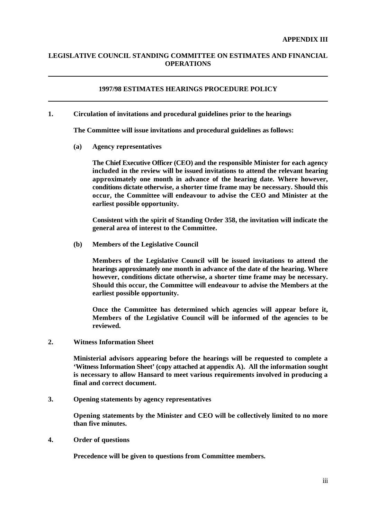#### **LEGISLATIVE COUNCIL STANDING COMMITTEE ON ESTIMATES AND FINANCIAL OPERATIONS**

#### **1997/98 ESTIMATES HEARINGS PROCEDURE POLICY**

**1. Circulation of invitations and procedural guidelines prior to the hearings**

**The Committee will issue invitations and procedural guidelines as follows:**

**(a) Agency representatives**

**The Chief Executive Officer (CEO) and the responsible Minister for each agency included in the review will be issued invitations to attend the relevant hearing approximately one month in advance of the hearing date. Where however, conditions dictate otherwise, a shorter time frame may be necessary. Should this occur, the Committee will endeavour to advise the CEO and Minister at the earliest possible opportunity.**

**Consistent with the spirit of Standing Order 358, the invitation will indicate the general area of interest to the Committee.** 

**(b) Members of the Legislative Council**

**Members of the Legislative Council will be issued invitations to attend the hearings approximately one month in advance of the date of the hearing. Where however, conditions dictate otherwise, a shorter time frame may be necessary. Should this occur, the Committee will endeavour to advise the Members at the earliest possible opportunity.**

**Once the Committee has determined which agencies will appear before it, Members of the Legislative Council will be informed of the agencies to be reviewed.** 

**2. Witness Information Sheet**

**Ministerial advisors appearing before the hearings will be requested to complete a 'Witness Information Sheet' (copy attached at appendix A). All the information sought is necessary to allow Hansard to meet various requirements involved in producing a final and correct document.**

**3. Opening statements by agency representatives**

**Opening statements by the Minister and CEO will be collectively limited to no more than five minutes.**

**4. Order of questions**

**Precedence will be given to questions from Committee members.**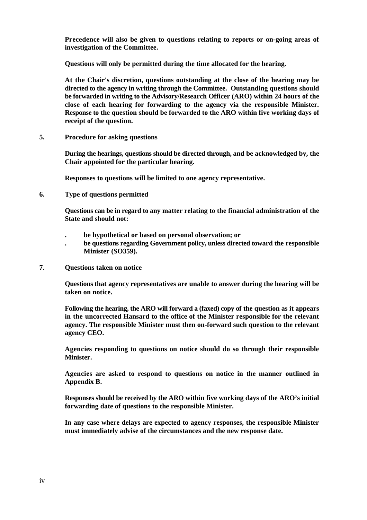**Precedence will also be given to questions relating to reports or on-going areas of investigation of the Committee.**

**Questions will only be permitted during the time allocated for the hearing.**

**At the Chair's discretion, questions outstanding at the close of the hearing may be directed to the agency in writing through the Committee. Outstanding questions should be forwarded in writing to the Advisory/Research Officer (ARO) within 24 hours of the close of each hearing for forwarding to the agency via the responsible Minister. Response to the question should be forwarded to the ARO within five working days of receipt of the question.**

**5. Procedure for asking questions**

**During the hearings, questions should be directed through, and be acknowledged by, the Chair appointed for the particular hearing.**

**Responses to questions will be limited to one agency representative.**

**6. Type of questions permitted**

**Questions can be in regard to any matter relating to the financial administration of the State and should not:**

- **. be hypothetical or based on personal observation; or**
- **. be questions regarding Government policy, unless directed toward the responsible Minister (SO359).**
- **7. Questions taken on notice**

**Questions that agency representatives are unable to answer during the hearing will be taken on notice.** 

**Following the hearing, the ARO will forward a (faxed) copy of the question as it appears in the uncorrected Hansard to the office of the Minister responsible for the relevant agency. The responsible Minister must then on-forward such question to the relevant agency CEO.** 

**Agencies responding to questions on notice should do so through their responsible Minister.**

**Agencies are asked to respond to questions on notice in the manner outlined in Appendix B.**

**Responses should be received by the ARO within five working days of the ARO's initial forwarding date of questions to the responsible Minister.**

**In any case where delays are expected to agency responses, the responsible Minister must immediately advise of the circumstances and the new response date.**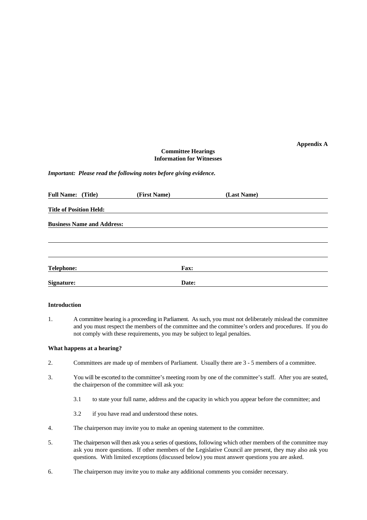#### **Appendix A**

#### **Committee Hearings Information for Witnesses**

*Important: Please read the following notes before giving evidence.*

| <b>Full Name:</b> (Title)         | (First Name) | (Last Name) |  |
|-----------------------------------|--------------|-------------|--|
| <b>Title of Position Held:</b>    |              |             |  |
| <b>Business Name and Address:</b> |              |             |  |
|                                   |              |             |  |
|                                   |              |             |  |
| <b>Telephone:</b>                 |              | <b>Fax:</b> |  |
| <b>Signature:</b>                 |              | Date:       |  |

#### **Introduction**

1. A committee hearing is a proceeding in Parliament. As such, you must not deliberately mislead the committee and you must respect the members of the committee and the committee's orders and procedures. If you do not comply with these requirements, you may be subject to legal penalties.

#### **What happens at a hearing?**

- 2. Committees are made up of members of Parliament. Usually there are 3 5 members of a committee.
- 3. You will be escorted to the committee's meeting room by one of the committee's staff. After you are seated, the chairperson of the committee will ask you:
	- 3.1 to state your full name, address and the capacity in which you appear before the committee; and
	- 3.2 if you have read and understood these notes.
- 4. The chairperson may invite you to make an opening statement to the committee.
- 5. The chairperson will then ask you a series of questions, following which other members of the committee may ask you more questions. If other members of the Legislative Council are present, they may also ask you questions. With limited exceptions (discussed below) you must answer questions you are asked.
- 6. The chairperson may invite you to make any additional comments you consider necessary.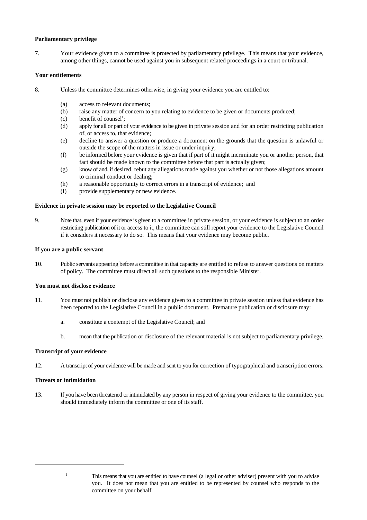#### **Parliamentary privilege**

7. Your evidence given to a committee is protected by parliamentary privilege. This means that your evidence, among other things, cannot be used against you in subsequent related proceedings in a court or tribunal.

#### **Your entitlements**

- 8. Unless the committee determines otherwise, in giving your evidence you are entitled to:
	- (a) access to relevant documents;
	- (b) raise any matter of concern to you relating to evidence to be given or documents produced;
	- $(c)$  benefit of counsel<sup>1</sup>;
	- (d) apply for all or part of your evidence to be given in private session and for an order restricting publication of, or access to, that evidence;
	- (e) decline to answer a question or produce a document on the grounds that the question is unlawful or outside the scope of the matters in issue or under inquiry;
	- (f) be informed before your evidence is given that if part of it might incriminate you or another person, that fact should be made known to the committee before that part is actually given;
	- (g) know of and, if desired, rebut any allegations made against you whether or not those allegations amount to criminal conduct or dealing;
	- (h) a reasonable opportunity to correct errors in a transcript of evidence; and
	- (I) provide supplementary or new evidence.

#### **Evidence in private session may be reported to the Legislative Council**

9. Note that, even if your evidence is given to a committee in private session, or your evidence is subject to an order restricting publication of it or access to it, the committee can still report your evidence to the Legislative Council if it considers it necessary to do so. This means that your evidence may become public.

#### **If you are a public servant**

10. Public servants appearing before a committee in that capacity are entitled to refuse to answer questions on matters of policy. The committee must direct all such questions to the responsible Minister.

#### **You must not disclose evidence**

- 11. You must not publish or disclose any evidence given to a committee in private session unless that evidence has been reported to the Legislative Council in a public document. Premature publication or disclosure may:
	- a. constitute a contempt of the Legislative Council; and
	- b. mean that the publication or disclosure of the relevant material is not subject to parliamentary privilege.

#### **Transcript of your evidence**

12. A transcript of your evidence will be made and sent to you for correction of typographical and transcription errors.

#### **Threats or intimidation**

13. If you have been threatened or intimidated by any person in respect of giving your evidence to the committee, you should immediately inform the committee or one of its staff.

<sup>&</sup>lt;sup>1</sup> This means that you are entitled to have counsel (a legal or other adviser) present with you to advise you. It does not mean that you are entitled to be represented by counsel who responds to the committee on your behalf.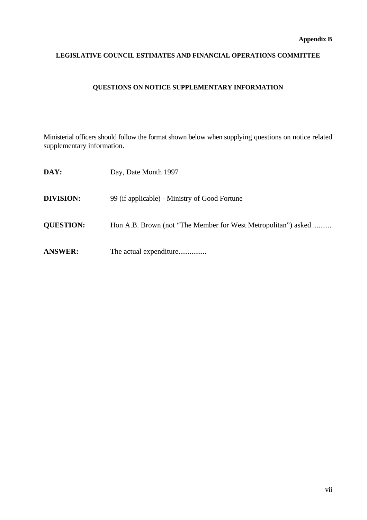### **LEGISLATIVE COUNCIL ESTIMATES AND FINANCIAL OPERATIONS COMMITTEE**

### **QUESTIONS ON NOTICE SUPPLEMENTARY INFORMATION**

Ministerial officers should follow the format shown below when supplying questions on notice related supplementary information.

| DAY:             | Day, Date Month 1997                                          |
|------------------|---------------------------------------------------------------|
| <b>DIVISION:</b> | 99 (if applicable) - Ministry of Good Fortune                 |
| <b>QUESTION:</b> | Hon A.B. Brown (not "The Member for West Metropolitan") asked |
| <b>ANSWER:</b>   | The actual expenditure                                        |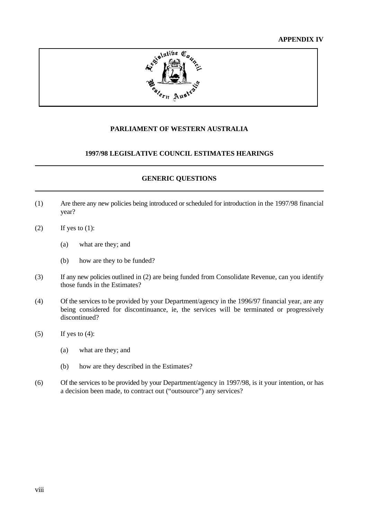

#### **PARLIAMENT OF WESTERN AUSTRALIA**

#### **1997/98 LEGISLATIVE COUNCIL ESTIMATES HEARINGS**

#### **GENERIC QUESTIONS**

- (1) Are there any new policies being introduced or scheduled for introduction in the 1997/98 financial year?
- (2) If yes to  $(1)$ :
	- (a) what are they; and
	- (b) how are they to be funded?
- (3) If any new policies outlined in (2) are being funded from Consolidate Revenue, can you identify those funds in the Estimates?
- (4) Of the services to be provided by your Department/agency in the 1996/97 financial year, are any being considered for discontinuance, ie, the services will be terminated or progressively discontinued?
- (5) If yes to  $(4)$ :
	- (a) what are they; and
	- (b) how are they described in the Estimates?
- (6) Of the services to be provided by your Department/agency in 1997/98, is it your intention, or has a decision been made, to contract out ("outsource") any services?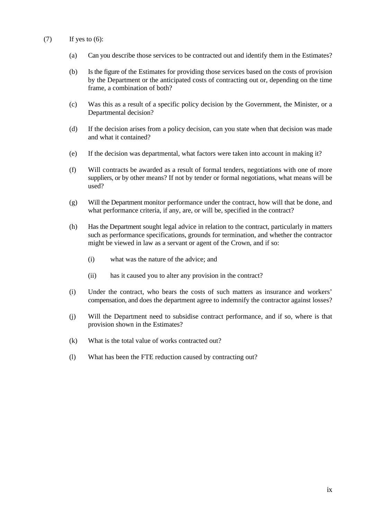- $(7)$  If yes to  $(6)$ :
	- (a) Can you describe those services to be contracted out and identify them in the Estimates?
	- (b) Is the figure of the Estimates for providing those services based on the costs of provision by the Department or the anticipated costs of contracting out or, depending on the time frame, a combination of both?
	- (c) Was this as a result of a specific policy decision by the Government, the Minister, or a Departmental decision?
	- (d) If the decision arises from a policy decision, can you state when that decision was made and what it contained?
	- (e) If the decision was departmental, what factors were taken into account in making it?
	- (f) Will contracts be awarded as a result of formal tenders, negotiations with one of more suppliers, or by other means? If not by tender or formal negotiations, what means will be used?
	- (g) Will the Department monitor performance under the contract, how will that be done, and what performance criteria, if any, are, or will be, specified in the contract?
	- (h) Has the Department sought legal advice in relation to the contract, particularly in matters such as performance specifications, grounds for termination, and whether the contractor might be viewed in law as a servant or agent of the Crown, and if so:
		- (i) what was the nature of the advice; and
		- (ii) has it caused you to alter any provision in the contract?
	- (i) Under the contract, who bears the costs of such matters as insurance and workers' compensation, and does the department agree to indemnify the contractor against losses?
	- (j) Will the Department need to subsidise contract performance, and if so, where is that provision shown in the Estimates?
	- (k) What is the total value of works contracted out?
	- (l) What has been the FTE reduction caused by contracting out?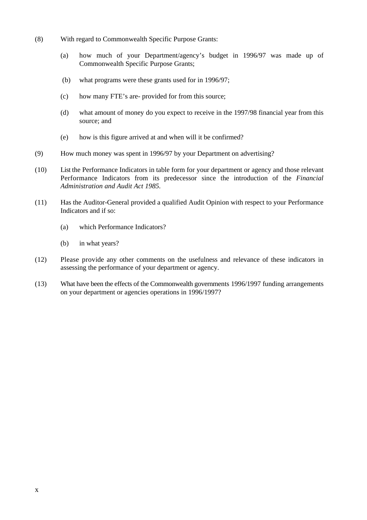- (8) With regard to Commonwealth Specific Purpose Grants:
	- (a) how much of your Department/agency's budget in 1996/97 was made up of Commonwealth Specific Purpose Grants;
	- (b) what programs were these grants used for in 1996/97;
	- (c) how many FTE's are- provided for from this source;
	- (d) what amount of money do you expect to receive in the 1997/98 financial year from this source; and
	- (e) how is this figure arrived at and when will it be confirmed?
- (9) How much money was spent in 1996/97 by your Department on advertising?
- (10) List the Performance Indicators in table form for your department or agency and those relevant Performance Indicators from its predecessor since the introduction of the *Financial Administration and Audit Act 1985.*
- (11) Has the Auditor-General provided a qualified Audit Opinion with respect to your Performance Indicators and if so:
	- (a) which Performance Indicators?
	- (b) in what years?
- (12) Please provide any other comments on the usefulness and relevance of these indicators in assessing the performance of your department or agency.
- (13) What have been the effects of the Commonwealth governments 1996/1997 funding arrangements on your department or agencies operations in 1996/1997?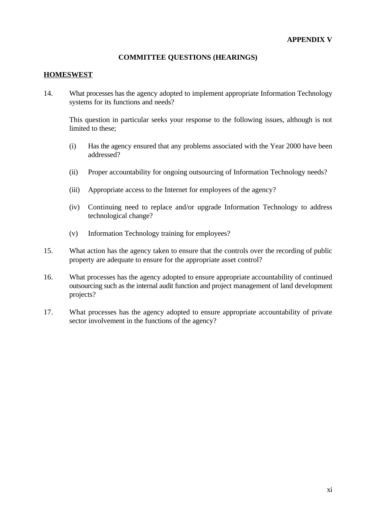#### **COMMITTEE QUESTIONS (HEARINGS)**

#### **HOMESWEST**

14. What processes has the agency adopted to implement appropriate Information Technology systems for its functions and needs?

- (i) Has the agency ensured that any problems associated with the Year 2000 have been addressed?
- (ii) Proper accountability for ongoing outsourcing of Information Technology needs?
- (iii) Appropriate access to the Internet for employees of the agency?
- (iv) Continuing need to replace and/or upgrade Information Technology to address technological change?
- (v) Information Technology training for employees?
- 15. What action has the agency taken to ensure that the controls over the recording of public property are adequate to ensure for the appropriate asset control?
- 16. What processes has the agency adopted to ensure appropriate accountability of continued outsourcing such as the internal audit function and project management of land development projects?
- 17. What processes has the agency adopted to ensure appropriate accountability of private sector involvement in the functions of the agency?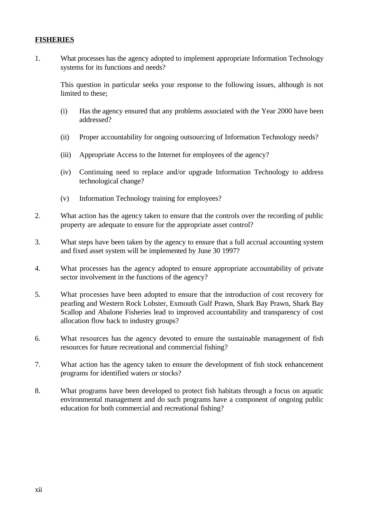#### **FISHERIES**

1. What processes has the agency adopted to implement appropriate Information Technology systems for its functions and needs?

- (i) Has the agency ensured that any problems associated with the Year 2000 have been addressed?
- (ii) Proper accountability for ongoing outsourcing of Information Technology needs?
- (iii) Appropriate Access to the Internet for employees of the agency?
- (iv) Continuing need to replace and/or upgrade Information Technology to address technological change?
- (v) Information Technology training for employees?
- 2. What action has the agency taken to ensure that the controls over the recording of public property are adequate to ensure for the appropriate asset control?
- 3. What steps have been taken by the agency to ensure that a full accrual accounting system and fixed asset system will be implemented by June 30 1997?
- 4. What processes has the agency adopted to ensure appropriate accountability of private sector involvement in the functions of the agency?
- 5. What processes have been adopted to ensure that the introduction of cost recovery for pearling and Western Rock Lobster, Exmouth Gulf Prawn, Shark Bay Prawn, Shark Bay Scallop and Abalone Fisheries lead to improved accountability and transparency of cost allocation flow back to industry groups?
- 6. What resources has the agency devoted to ensure the sustainable management of fish resources for future recreational and commercial fishing?
- 7. What action has the agency taken to ensure the development of fish stock enhancement programs for identified waters or stocks?
- 8. What programs have been developed to protect fish habitats through a focus on aquatic environmental management and do such programs have a component of ongoing public education for both commercial and recreational fishing?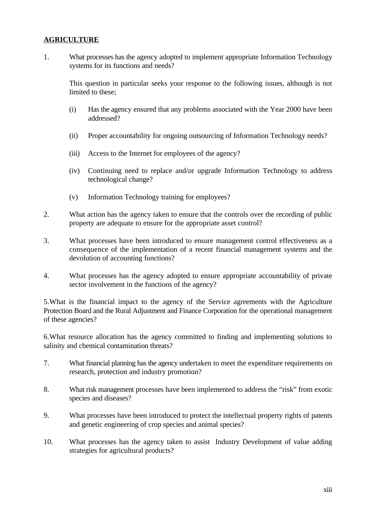### **AGRICULTURE**

1. What processes has the agency adopted to implement appropriate Information Technology systems for its functions and needs?

This question in particular seeks your response to the following issues, although is not limited to these;

- (i) Has the agency ensured that any problems associated with the Year 2000 have been addressed?
- (ii) Proper accountability for ongoing outsourcing of Information Technology needs?
- (iii) Access to the Internet for employees of the agency?
- (iv) Continuing need to replace and/or upgrade Information Technology to address technological change?
- (v) Information Technology training for employees?
- 2. What action has the agency taken to ensure that the controls over the recording of public property are adequate to ensure for the appropriate asset control?
- 3. What processes have been introduced to ensure management control effectiveness as a consequence of the implementation of a recent financial management systems and the devolution of accounting functions?
- 4. What processes has the agency adopted to ensure appropriate accountability of private sector involvement in the functions of the agency?

5.What is the financial impact to the agency of the Service agreements with the Agriculture Protection Board and the Rural Adjustment and Finance Corporation for the operational management of these agencies?

6.What resource allocation has the agency committed to finding and implementing solutions to salinity and chemical contamination threats?

- 7. What financial planning has the agency undertaken to meet the expenditure requirements on research, protection and industry promotion?
- 8. What risk management processes have been implemented to address the "risk" from exotic species and diseases?
- 9. What processes have been introduced to protect the intellectual property rights of patents and genetic engineering of crop species and animal species?
- 10. What processes has the agency taken to assist Industry Development of value adding strategies for agricultural products?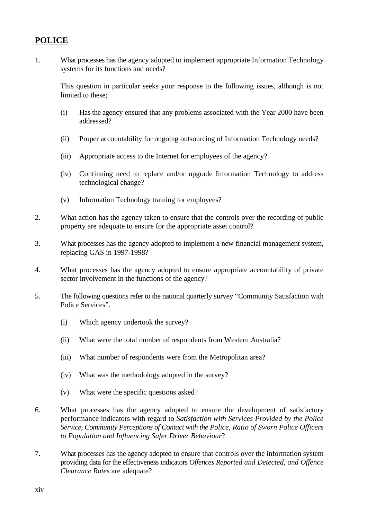## **POLICE**

1. What processes has the agency adopted to implement appropriate Information Technology systems for its functions and needs?

- (i) Has the agency ensured that any problems associated with the Year 2000 have been addressed?
- (ii) Proper accountability for ongoing outsourcing of Information Technology needs?
- (iii) Appropriate access to the Internet for employees of the agency?
- (iv) Continuing need to replace and/or upgrade Information Technology to address technological change?
- (v) Information Technology training for employees?
- 2. What action has the agency taken to ensure that the controls over the recording of public property are adequate to ensure for the appropriate asset control?
- 3. What processes has the agency adopted to implement a new financial management system, replacing GAS in 1997-1998?
- 4. What processes has the agency adopted to ensure appropriate accountability of private sector involvement in the functions of the agency?
- 5. The following questions refer to the national quarterly survey "Community Satisfaction with Police Services".
	- (i) Which agency undertook the survey?
	- (ii) What were the total number of respondents from Western Australia?
	- (iii) What number of respondents were from the Metropolitan area?
	- (iv) What was the methodology adopted in the survey?
	- (v) What were the specific questions asked?
- 6. What processes has the agency adopted to ensure the development of satisfactory performance indicators with regard to *Satisfaction with Services Provided by the Police Service, Community Perceptions of Contact with the Police*, *Ratio of Sworn Police Officers to Population and Influencing Safer Driver Behaviour*?
- 7. What processes has the agency adopted to ensure that controls over the information system providing data for the effectiveness indicators *Offences Reported and Detected, and Offence Clearance Rates* are adequate?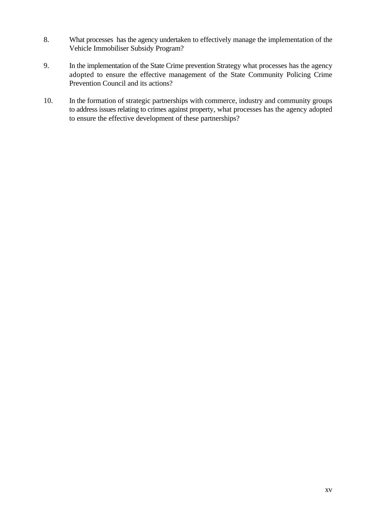- 8. What processes has the agency undertaken to effectively manage the implementation of the Vehicle Immobiliser Subsidy Program?
- 9. In the implementation of the State Crime prevention Strategy what processes has the agency adopted to ensure the effective management of the State Community Policing Crime Prevention Council and its actions?
- 10. In the formation of strategic partnerships with commerce, industry and community groups to address issues relating to crimes against property, what processes has the agency adopted to ensure the effective development of these partnerships?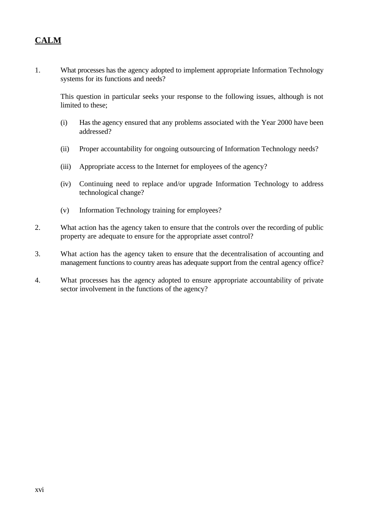## **CALM**

1. What processes has the agency adopted to implement appropriate Information Technology systems for its functions and needs?

- (i) Has the agency ensured that any problems associated with the Year 2000 have been addressed?
- (ii) Proper accountability for ongoing outsourcing of Information Technology needs?
- (iii) Appropriate access to the Internet for employees of the agency?
- (iv) Continuing need to replace and/or upgrade Information Technology to address technological change?
- (v) Information Technology training for employees?
- 2. What action has the agency taken to ensure that the controls over the recording of public property are adequate to ensure for the appropriate asset control?
- 3. What action has the agency taken to ensure that the decentralisation of accounting and management functions to country areas has adequate support from the central agency office?
- 4. What processes has the agency adopted to ensure appropriate accountability of private sector involvement in the functions of the agency?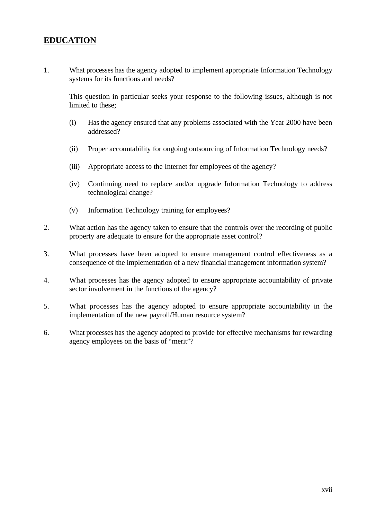## **EDUCATION**

1. What processes has the agency adopted to implement appropriate Information Technology systems for its functions and needs?

- (i) Has the agency ensured that any problems associated with the Year 2000 have been addressed?
- (ii) Proper accountability for ongoing outsourcing of Information Technology needs?
- (iii) Appropriate access to the Internet for employees of the agency?
- (iv) Continuing need to replace and/or upgrade Information Technology to address technological change?
- (v) Information Technology training for employees?
- 2. What action has the agency taken to ensure that the controls over the recording of public property are adequate to ensure for the appropriate asset control?
- 3. What processes have been adopted to ensure management control effectiveness as a consequence of the implementation of a new financial management information system?
- 4. What processes has the agency adopted to ensure appropriate accountability of private sector involvement in the functions of the agency?
- 5. What processes has the agency adopted to ensure appropriate accountability in the implementation of the new payroll/Human resource system?
- 6. What processes has the agency adopted to provide for effective mechanisms for rewarding agency employees on the basis of "merit"?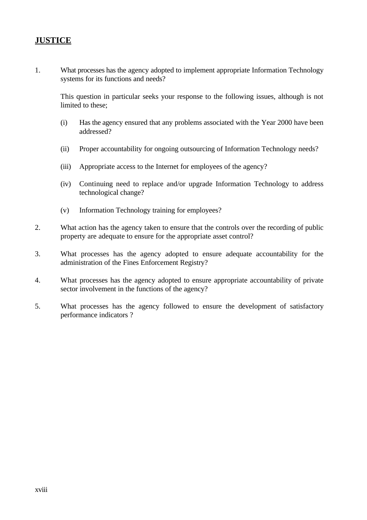## **JUSTICE**

1. What processes has the agency adopted to implement appropriate Information Technology systems for its functions and needs?

- (i) Has the agency ensured that any problems associated with the Year 2000 have been addressed?
- (ii) Proper accountability for ongoing outsourcing of Information Technology needs?
- (iii) Appropriate access to the Internet for employees of the agency?
- (iv) Continuing need to replace and/or upgrade Information Technology to address technological change?
- (v) Information Technology training for employees?
- 2. What action has the agency taken to ensure that the controls over the recording of public property are adequate to ensure for the appropriate asset control?
- 3. What processes has the agency adopted to ensure adequate accountability for the administration of the Fines Enforcement Registry?
- 4. What processes has the agency adopted to ensure appropriate accountability of private sector involvement in the functions of the agency?
- 5. What processes has the agency followed to ensure the development of satisfactory performance indicators ?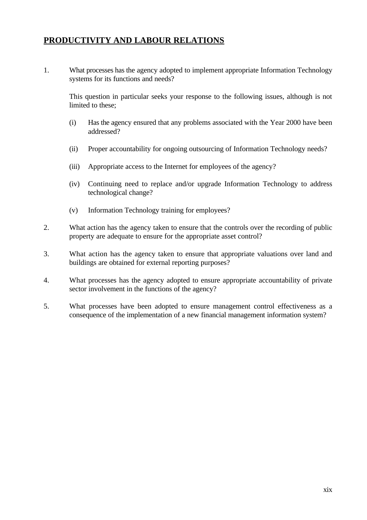## **PRODUCTIVITY AND LABOUR RELATIONS**

1. What processes has the agency adopted to implement appropriate Information Technology systems for its functions and needs?

- (i) Has the agency ensured that any problems associated with the Year 2000 have been addressed?
- (ii) Proper accountability for ongoing outsourcing of Information Technology needs?
- (iii) Appropriate access to the Internet for employees of the agency?
- (iv) Continuing need to replace and/or upgrade Information Technology to address technological change?
- (v) Information Technology training for employees?
- 2. What action has the agency taken to ensure that the controls over the recording of public property are adequate to ensure for the appropriate asset control?
- 3. What action has the agency taken to ensure that appropriate valuations over land and buildings are obtained for external reporting purposes?
- 4. What processes has the agency adopted to ensure appropriate accountability of private sector involvement in the functions of the agency?
- 5. What processes have been adopted to ensure management control effectiveness as a consequence of the implementation of a new financial management information system?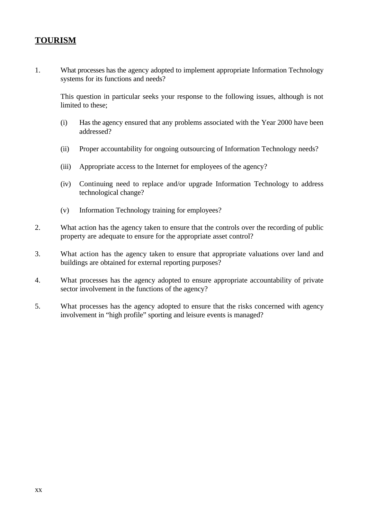## **TOURISM**

1. What processes has the agency adopted to implement appropriate Information Technology systems for its functions and needs?

- (i) Has the agency ensured that any problems associated with the Year 2000 have been addressed?
- (ii) Proper accountability for ongoing outsourcing of Information Technology needs?
- (iii) Appropriate access to the Internet for employees of the agency?
- (iv) Continuing need to replace and/or upgrade Information Technology to address technological change?
- (v) Information Technology training for employees?
- 2. What action has the agency taken to ensure that the controls over the recording of public property are adequate to ensure for the appropriate asset control?
- 3. What action has the agency taken to ensure that appropriate valuations over land and buildings are obtained for external reporting purposes?
- 4. What processes has the agency adopted to ensure appropriate accountability of private sector involvement in the functions of the agency?
- 5. What processes has the agency adopted to ensure that the risks concerned with agency involvement in "high profile" sporting and leisure events is managed?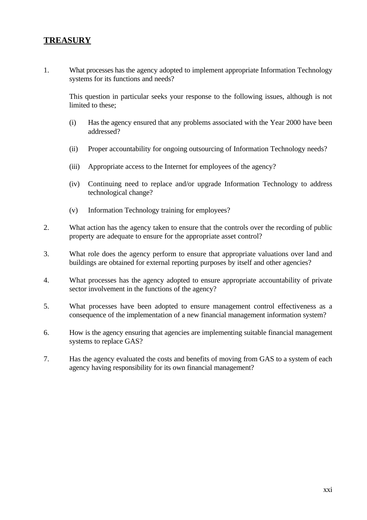## **TREASURY**

1. What processes has the agency adopted to implement appropriate Information Technology systems for its functions and needs?

- (i) Has the agency ensured that any problems associated with the Year 2000 have been addressed?
- (ii) Proper accountability for ongoing outsourcing of Information Technology needs?
- (iii) Appropriate access to the Internet for employees of the agency?
- (iv) Continuing need to replace and/or upgrade Information Technology to address technological change?
- (v) Information Technology training for employees?
- 2. What action has the agency taken to ensure that the controls over the recording of public property are adequate to ensure for the appropriate asset control?
- 3. What role does the agency perform to ensure that appropriate valuations over land and buildings are obtained for external reporting purposes by itself and other agencies?
- 4. What processes has the agency adopted to ensure appropriate accountability of private sector involvement in the functions of the agency?
- 5. What processes have been adopted to ensure management control effectiveness as a consequence of the implementation of a new financial management information system?
- 6. How is the agency ensuring that agencies are implementing suitable financial management systems to replace GAS?
- 7. Has the agency evaluated the costs and benefits of moving from GAS to a system of each agency having responsibility for its own financial management?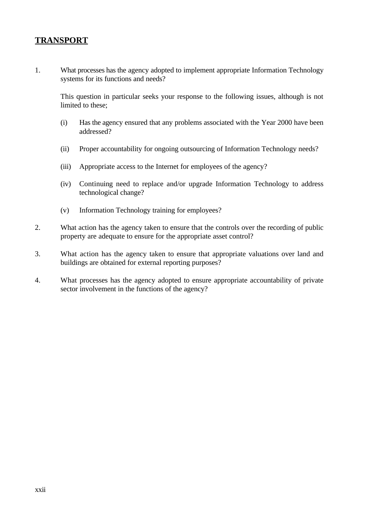## **TRANSPORT**

1. What processes has the agency adopted to implement appropriate Information Technology systems for its functions and needs?

- (i) Has the agency ensured that any problems associated with the Year 2000 have been addressed?
- (ii) Proper accountability for ongoing outsourcing of Information Technology needs?
- (iii) Appropriate access to the Internet for employees of the agency?
- (iv) Continuing need to replace and/or upgrade Information Technology to address technological change?
- (v) Information Technology training for employees?
- 2. What action has the agency taken to ensure that the controls over the recording of public property are adequate to ensure for the appropriate asset control?
- 3. What action has the agency taken to ensure that appropriate valuations over land and buildings are obtained for external reporting purposes?
- 4. What processes has the agency adopted to ensure appropriate accountability of private sector involvement in the functions of the agency?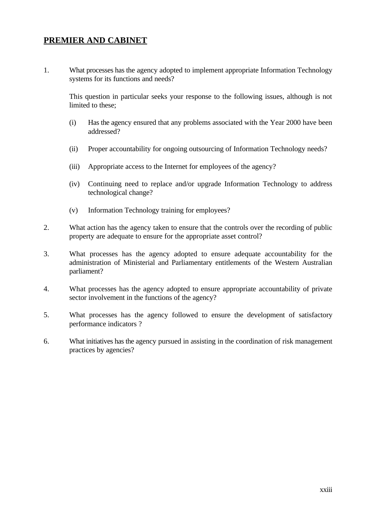## **PREMIER AND CABINET**

1. What processes has the agency adopted to implement appropriate Information Technology systems for its functions and needs?

- (i) Has the agency ensured that any problems associated with the Year 2000 have been addressed?
- (ii) Proper accountability for ongoing outsourcing of Information Technology needs?
- (iii) Appropriate access to the Internet for employees of the agency?
- (iv) Continuing need to replace and/or upgrade Information Technology to address technological change?
- (v) Information Technology training for employees?
- 2. What action has the agency taken to ensure that the controls over the recording of public property are adequate to ensure for the appropriate asset control?
- 3. What processes has the agency adopted to ensure adequate accountability for the administration of Ministerial and Parliamentary entitlements of the Western Australian parliament?
- 4. What processes has the agency adopted to ensure appropriate accountability of private sector involvement in the functions of the agency?
- 5. What processes has the agency followed to ensure the development of satisfactory performance indicators ?
- 6. What initiatives has the agency pursued in assisting in the coordination of risk management practices by agencies?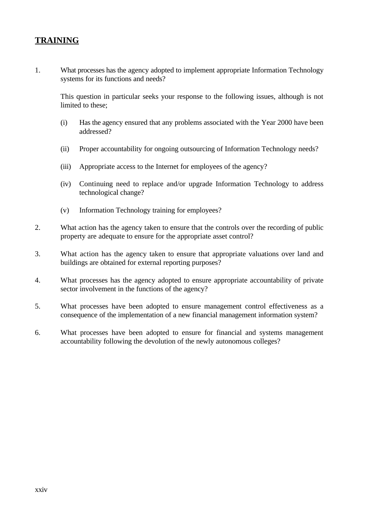## **TRAINING**

1. What processes has the agency adopted to implement appropriate Information Technology systems for its functions and needs?

- (i) Has the agency ensured that any problems associated with the Year 2000 have been addressed?
- (ii) Proper accountability for ongoing outsourcing of Information Technology needs?
- (iii) Appropriate access to the Internet for employees of the agency?
- (iv) Continuing need to replace and/or upgrade Information Technology to address technological change?
- (v) Information Technology training for employees?
- 2. What action has the agency taken to ensure that the controls over the recording of public property are adequate to ensure for the appropriate asset control?
- 3. What action has the agency taken to ensure that appropriate valuations over land and buildings are obtained for external reporting purposes?
- 4. What processes has the agency adopted to ensure appropriate accountability of private sector involvement in the functions of the agency?
- 5. What processes have been adopted to ensure management control effectiveness as a consequence of the implementation of a new financial management information system?
- 6. What processes have been adopted to ensure for financial and systems management accountability following the devolution of the newly autonomous colleges?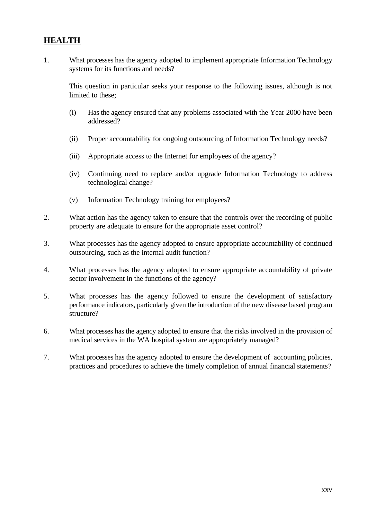## **HEALTH**

1. What processes has the agency adopted to implement appropriate Information Technology systems for its functions and needs?

- (i) Has the agency ensured that any problems associated with the Year 2000 have been addressed?
- (ii) Proper accountability for ongoing outsourcing of Information Technology needs?
- (iii) Appropriate access to the Internet for employees of the agency?
- (iv) Continuing need to replace and/or upgrade Information Technology to address technological change?
- (v) Information Technology training for employees?
- 2. What action has the agency taken to ensure that the controls over the recording of public property are adequate to ensure for the appropriate asset control?
- 3. What processes has the agency adopted to ensure appropriate accountability of continued outsourcing, such as the internal audit function?
- 4. What processes has the agency adopted to ensure appropriate accountability of private sector involvement in the functions of the agency?
- 5. What processes has the agency followed to ensure the development of satisfactory performance indicators, particularly given the introduction of the new disease based program structure?
- 6. What processes has the agency adopted to ensure that the risks involved in the provision of medical services in the WA hospital system are appropriately managed?
- 7. What processes has the agency adopted to ensure the development of accounting policies, practices and procedures to achieve the timely completion of annual financial statements?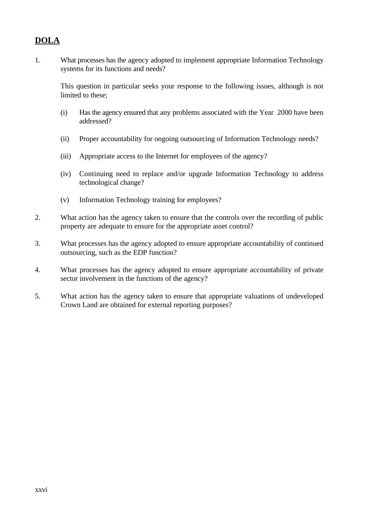## **DOLA**

1. What processes has the agency adopted to implement appropriate Information Technology systems for its functions and needs?

- (i) Has the agency ensured that any problems associated with the Year 2000 have been addressed?
- (ii) Proper accountability for ongoing outsourcing of Information Technology needs?
- (iii) Appropriate access to the Internet for employees of the agency?
- (iv) Continuing need to replace and/or upgrade Information Technology to address technological change?
- (v) Information Technology training for employees?
- 2. What action has the agency taken to ensure that the controls over the recording of public property are adequate to ensure for the appropriate asset control?
- 3. What processes has the agency adopted to ensure appropriate accountability of continued outsourcing, such as the EDP function?
- 4. What processes has the agency adopted to ensure appropriate accountability of private sector involvement in the functions of the agency?
- 5. What action has the agency taken to ensure that appropriate valuations of undeveloped Crown Land are obtained for external reporting purposes?